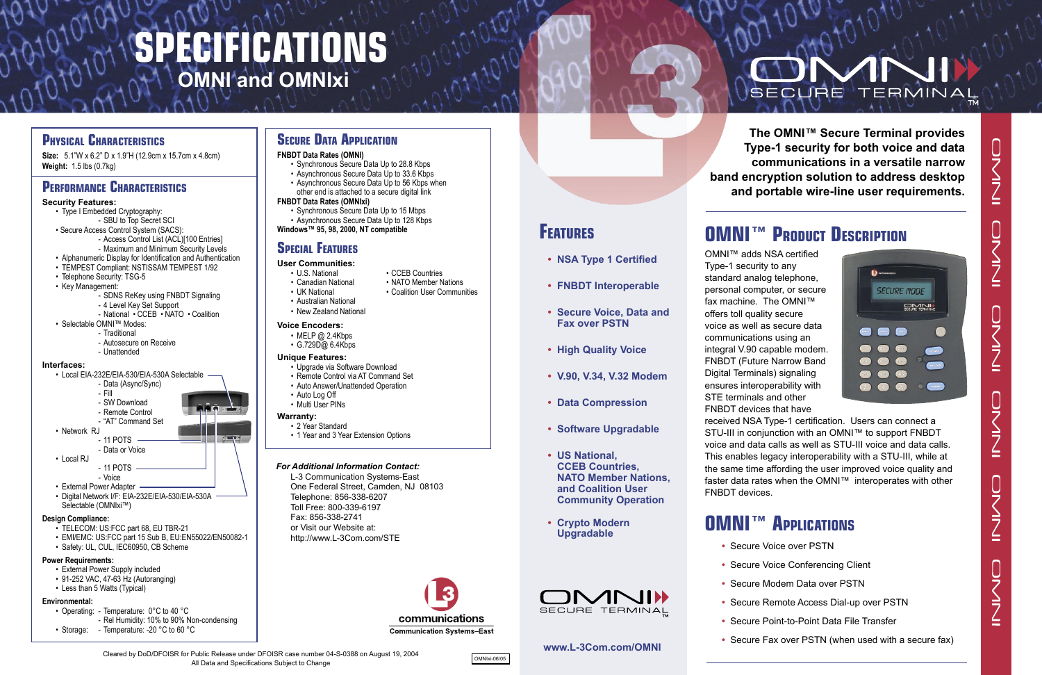**The OMNI™ Secure Terminal provides Type-1 security for both voice and data communications in a versatile narrow band encryption solution to address desktop and portable wire-line user requirements.**

## **OMNI™ PRODUCT DESCRIPTION**

OMNI™ adds NSA certified



- Type-1 security to any standard analog telephone, personal computer, or secure fax machine. The OMNI™ offers toll quality secure voice as well as secure data communications using an integral V.90 capable modem. FNBDT (Future Narrow Band Digital Terminals) signaling ensures interoperability with STE terminals and other FNBDT devices that have FNBDT devices.
- 
- 
- 
- 
- 
- 

received NSA Type-1 certification. Users can connect a STU-III in conjunction with an OMNI™ to support FNBDT voice and data calls as well as STU-III voice and data calls. This enables legacy interoperability with a STU-III, while at the same time affording the user improved voice quality and faster data rates when the OMNI™ interoperates with other

## **OMNI™ APPLICATIONS**

- Synchronous Secure Data Up to 15 Mbps
- Asynchronous Secure Data Up to 128 Kbps
- **Windows™ 95, 98, 2000, NT compatible**

- Secure Voice over PSTN
- Secure Voice Conferencing Client
- Secure Modem Data over PSTN
- Secure Remote Access Dial-up over PSTN
- Secure Point-to-Point Data File Transfer
- Secure Fax over PSTN (when used with a secure fax)

## **FEATURES • NSA Type 1 Certified**

- Upgrade via Software Download
- Remote Control via AT Command Set
- Auto Answer/Unattended Operation
- Auto Log Off
- Multi User PINs
- **• FNBDT Interoperable**
- **Secure Voice, Data and Fax over PSTN**
- **High Quality Voice**
- **V.90, V.34, V.32 Modem**
- **Data Compression**
- **Software Upgradable**
- **US National, CCEB Countries, NATO Member Nations, and Coalition User Community Operation**
- **Crypto Modern Upgradable**



## **www.L-3Com.com/OMNI**

## *For Additional Information Contact:*

 L-3 Communication Systems-East One Federal Street, Camden, NJ 08103 Telephone: 856-338-6207 Toll Free: 800-339-6197 Fax: 856-338-2741 or Visit our Website at: http://www.L-3Com.com/STE



• Coalition User Communities

OMNIxi-06/05

# SECURE ERMINAL

#### **FNBDT Data Rates (OMNI)**

- Synchronous Secure Data Up to 28.8 Kbps
- Asynchronous Secure Data Up to 33.6 Kbps
- Asynchronous Secure Data Up to 56 Kbps when other end is attached to a secure digital link

## **FNBDT Data Rates (OMNIxi)**

## **SPECIAL FEATURES**

- **User Communities:**
	- U.S. National CCEB Countries<br>• Canadian National NATO Member N
	- Canadian National NATO Member Nations<br>• UK National Coalition User Commun
	-
	- Australian National
	- New Zealand National

#### **Voice Encoders:**

- MELP @ 2.4Kbps
- $\cdot$  G.729D $@$  6.4Kbps

## **Unique Features:**

## **Warranty:**

- 2 Year Standard
- 1 Year and 3 Year Extension Options

## **PHYSICAL CHARACTERISTICS**

**Size:** 5.1"W x 6.2" D x 1.9"H (12.9cm x 15.7cm x 4.8cm) **Weight:** 1.5 lbs (0.7kg)

## **PERFORMANCE CHARACTERISTICS**

## **Security Features:**

- Type I Embedded Cryptography:
	- SBU to Top Secret SCI
- Secure Access Control System (SACS):
	- Access Control List (ACL)[100 Entries]
	- Maximum and Minimum Security Levels
- Alphanumeric Display for Identification and Authentication
- TEMPEST Compliant: NSTISSAM TEMPEST 1/92
- Telephone Security: TSG-5
- Key Management:
	- SDNS ReKey using FNBDT Signaling
	- 4 Level Key Set Support
	- National CCEB NATO Coalition
- Selectable OMNI™ Modes:
	- Traditional
		- Autosecure on Receive
		- Unattended

#### **Interfaces:**

- Local EIA-232E/EIA-530/EIA-530A Selectable
	- Data (Async/Sync) - Fill
	-
	- SW Download - Remote Control
	- "AT" Command Set
- Network RJ
- 11 POTS
- Data or Voice
- Local RJ
- 11 POTS
- Voice
- External Power Adapter
- Digital Network I/F: EIA-232E/EIA-530/EIA-530A Selectable (OMNIxi™)

#### **Design Compliance:**

- TELECOM: US:FCC part 68, EU TBR-21
- EMI/EMC: US:FCC part 15 Sub B, EU:EN55022/EN50082-1
- Safety: UL, CUL, IEC60950, CB Scheme

## **Power Requirements:**

- External Power Supply included
- 91-252 VAC, 47-63 Hz (Autoranging)
- Less than 5 Watts (Typical)

## **Environmental:**

- Operating: Temperature: 0°C to 40 °C
- Rel Humidity: 10% to 90% Non-condensing
- Storage: Temperature: -20 °C to 60 °C

## **SECURE DATA APPLICATION**

# **SPECIFICATIONS OMNI and OMNIxi**

Cleared by DoD/DFOISR for Public Release under DFOISR case number 04-S-0388 on August 19, 2004 All Data and Specifications Subject to Change